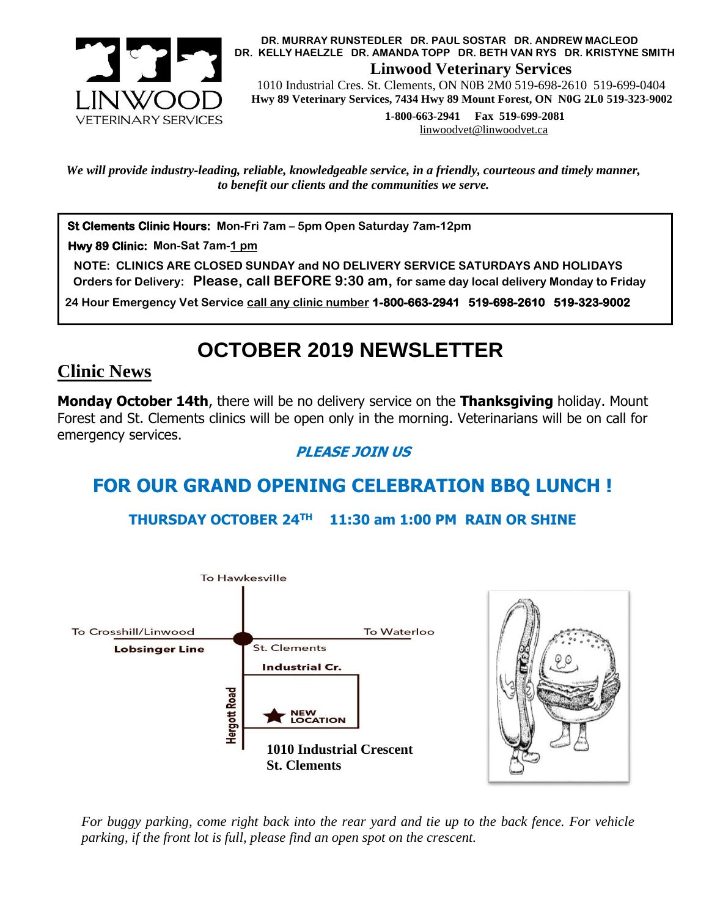

 **DR. MURRAY RUNSTEDLER DR. PAUL SOSTAR DR. ANDREW MACLEOD DR. KELLY HAELZLE DR. AMANDA TOPP DR. BETH VAN RYS DR. KRISTYNE SMITH Linwood Veterinary Services**

 1010 Industrial Cres. St. Clements, ON N0B 2M0 519-698-2610 519-699-0404  **Hwy 89 Veterinary Services, 7434 Hwy 89 Mount Forest, ON N0G 2L0 519-323-9002**

> **1-800-663-2941 Fax 519-699-2081** [linwoodvet@linwoodvet.ca](mailto:linwoodvet@linwoodvet.ca)

*We will provide industry-leading, reliable, knowledgeable service, in a friendly, courteous and timely manner, to benefit our clients and the communities we serve.*

**St Clements Clinic Hours: Mon-Fri 7am – 5pm Open Saturday 7am-12pm**

 **Hwy 89 Clinic: Mon-Sat 7am-1 pm**

 **NOTE: CLINICS ARE CLOSED SUNDAY and NO DELIVERY SERVICE SATURDAYS AND HOLIDAYS Orders for Delivery: Please, call BEFORE 9:30 am, for same day local delivery Monday to Friday** 

 **24 Hour Emergency Vet Service call any clinic number 1-800-663-2941 519-698-2610 519-323-9002**

# **OCTOBER 2019 NEWSLETTER**

### **Clinic News**

**Monday October 14th**, there will be no delivery service on the **Thanksgiving** holiday. Mount Forest and St. Clements clinics will be open only in the morning. Veterinarians will be on call for emergency services.

#### **PLEASE JOIN US**

## **FOR OUR GRAND OPENING CELEBRATION BBQ LUNCH !**

**THURSDAY OCTOBER 24TH 11:30 am 1:00 PM RAIN OR SHINE**



*For buggy parking, come right back into the rear yard and tie up to the back fence. For vehicle parking, if the front lot is full, please find an open spot on the crescent.*